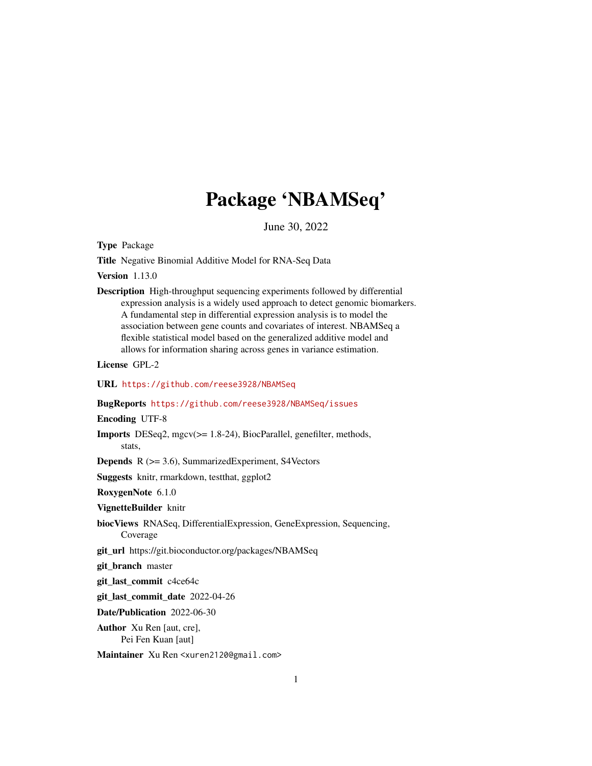## Package 'NBAMSeq'

June 30, 2022

<span id="page-0-0"></span>Type Package

Title Negative Binomial Additive Model for RNA-Seq Data

Version 1.13.0

Description High-throughput sequencing experiments followed by differential expression analysis is a widely used approach to detect genomic biomarkers. A fundamental step in differential expression analysis is to model the association between gene counts and covariates of interest. NBAMSeq a flexible statistical model based on the generalized additive model and allows for information sharing across genes in variance estimation.

License GPL-2

URL <https://github.com/reese3928/NBAMSeq>

BugReports <https://github.com/reese3928/NBAMSeq/issues>

Encoding UTF-8

Imports DESeq2, mgcv(>= 1.8-24), BiocParallel, genefilter, methods, stats,

Depends R (>= 3.6), SummarizedExperiment, S4Vectors

Suggests knitr, rmarkdown, testthat, ggplot2

RoxygenNote 6.1.0

VignetteBuilder knitr

biocViews RNASeq, DifferentialExpression, GeneExpression, Sequencing, Coverage

git\_url https://git.bioconductor.org/packages/NBAMSeq

git branch master

git\_last\_commit c4ce64c

git last commit date 2022-04-26

Date/Publication 2022-06-30

Author Xu Ren [aut, cre], Pei Fen Kuan [aut]

Maintainer Xu Ren <xuren2120@gmail.com>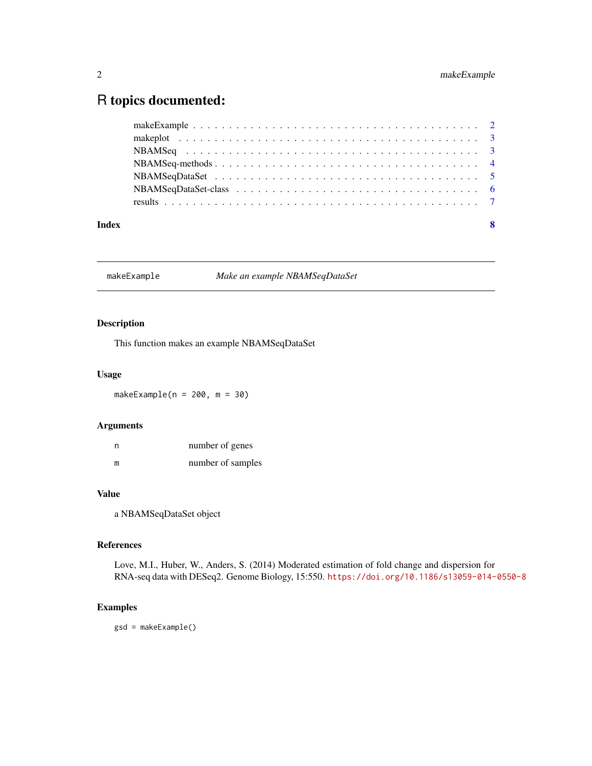### <span id="page-1-0"></span>R topics documented:

| Index |  |
|-------|--|
|       |  |
|       |  |
|       |  |
|       |  |
|       |  |
|       |  |
|       |  |

makeExample *Make an example NBAMSeqDataSet*

#### Description

This function makes an example NBAMSeqDataSet

#### Usage

makeExample( $n = 200$ ,  $m = 30$ )

#### Arguments

| n | number of genes   |
|---|-------------------|
| m | number of samples |

#### Value

a NBAMSeqDataSet object

#### References

Love, M.I., Huber, W., Anders, S. (2014) Moderated estimation of fold change and dispersion for RNA-seq data with DESeq2. Genome Biology, 15:550. <https://doi.org/10.1186/s13059-014-0550-8>

#### Examples

gsd = makeExample()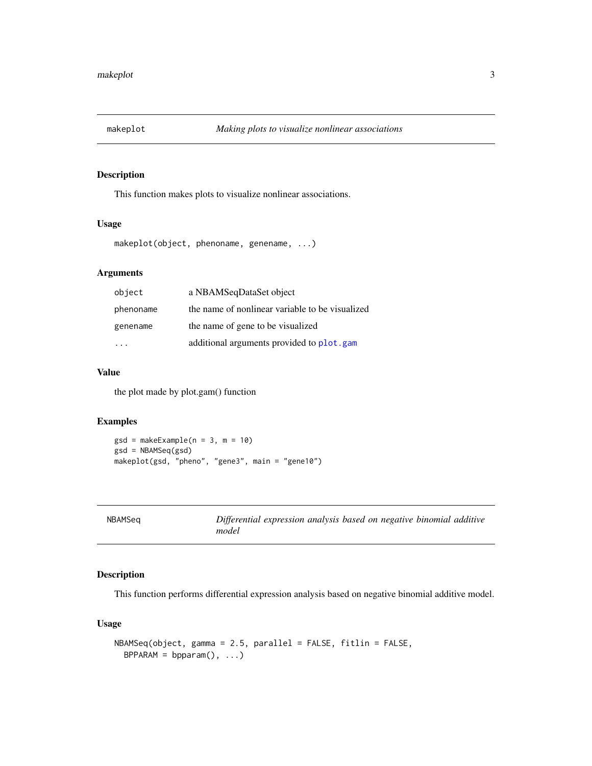<span id="page-2-0"></span>

#### Description

This function makes plots to visualize nonlinear associations.

#### Usage

makeplot(object, phenoname, genename, ...)

#### Arguments

| object    | a NBAMSeqDataSet object                         |
|-----------|-------------------------------------------------|
| phenoname | the name of nonlinear variable to be visualized |
| genename  | the name of gene to be visualized               |
|           | additional arguments provided to plot.gam       |

#### Value

the plot made by plot.gam() function

#### Examples

```
gsd = makeExample(n = 3, m = 10)
gsd = NBAMSeq(gsd)
makeplot(gsd, "pheno", "gene3", main = "gene10")
```
<span id="page-2-1"></span>

| NBAMSeg | Differential expression analysis based on negative binomial additive |
|---------|----------------------------------------------------------------------|
|         | model                                                                |
|         |                                                                      |

#### Description

This function performs differential expression analysis based on negative binomial additive model.

#### Usage

```
NBAMSeq(object, gamma = 2.5, parallel = FALSE, fitlin = FALSE,
 BPPARAM = bpparam(), ...)
```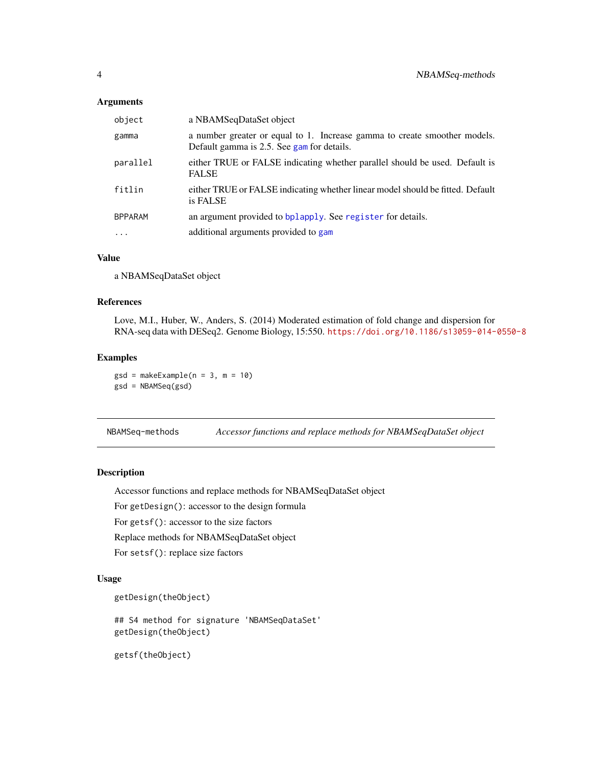#### <span id="page-3-0"></span>Arguments

| object         | a NBAMSeqDataSet object                                                                                                 |
|----------------|-------------------------------------------------------------------------------------------------------------------------|
| gamma          | a number greater or equal to 1. Increase gamma to create smoother models.<br>Default gamma is 2.5. See gam for details. |
| parallel       | either TRUE or FALSE indicating whether parallel should be used. Default is<br><b>FALSE</b>                             |
| fitlin         | either TRUE or FALSE indicating whether linear model should be fitted. Default<br>is FALSE                              |
| <b>BPPARAM</b> | an argument provided to bplapply. See register for details.                                                             |
| $\ddotsc$      | additional arguments provided to gam                                                                                    |

#### Value

a NBAMSeqDataSet object

#### References

Love, M.I., Huber, W., Anders, S. (2014) Moderated estimation of fold change and dispersion for RNA-seq data with DESeq2. Genome Biology, 15:550. <https://doi.org/10.1186/s13059-014-0550-8>

#### Examples

 $gsd = makeExample(n = 3, m = 10)$ gsd = NBAMSeq(gsd)

NBAMSeq-methods *Accessor functions and replace methods for NBAMSeqDataSet object*

#### Description

Accessor functions and replace methods for NBAMSeqDataSet object

For getDesign(): accessor to the design formula

For getsf(): accessor to the size factors

Replace methods for NBAMSeqDataSet object

For setsf(): replace size factors

#### Usage

```
getDesign(theObject)
```
## S4 method for signature 'NBAMSeqDataSet' getDesign(theObject)

getsf(theObject)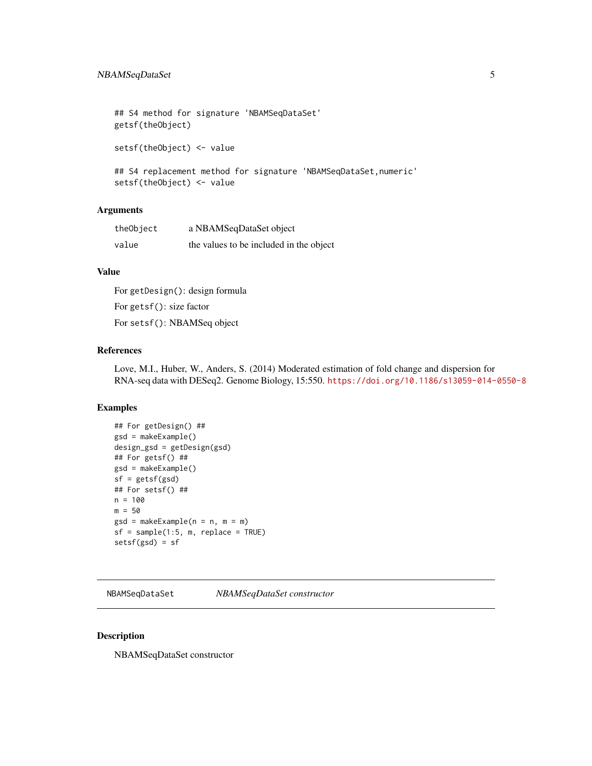```
## S4 method for signature 'NBAMSeqDataSet'
getsf(theObject)
setsf(theObject) <- value
## S4 replacement method for signature 'NBAMSeqDataSet, numeric'
setsf(theObject) <- value
```
#### Arguments

| theObject | a NBAMSeqDataSet object                 |
|-----------|-----------------------------------------|
| value     | the values to be included in the object |

#### Value

For getDesign(): design formula For getsf(): size factor For setsf(): NBAMSeq object

#### References

Love, M.I., Huber, W., Anders, S. (2014) Moderated estimation of fold change and dispersion for RNA-seq data with DESeq2. Genome Biology, 15:550. <https://doi.org/10.1186/s13059-014-0550-8>

#### Examples

```
## For getDesign() ##
gsd = makeExample()
design_gsd = getDesign(gsd)
## For getsf() ##
gsd = makeExample()
sf = getsf(gsd)
## For setsf() ##
n = 100
m = 50gsd = makeExample(n = n, m = m)
sf = sample(1:5, m, replace = TRUE)setsf(gsd) = sf
```
NBAMSeqDataSet *NBAMSeqDataSet constructor*

#### Description

NBAMSeqDataSet constructor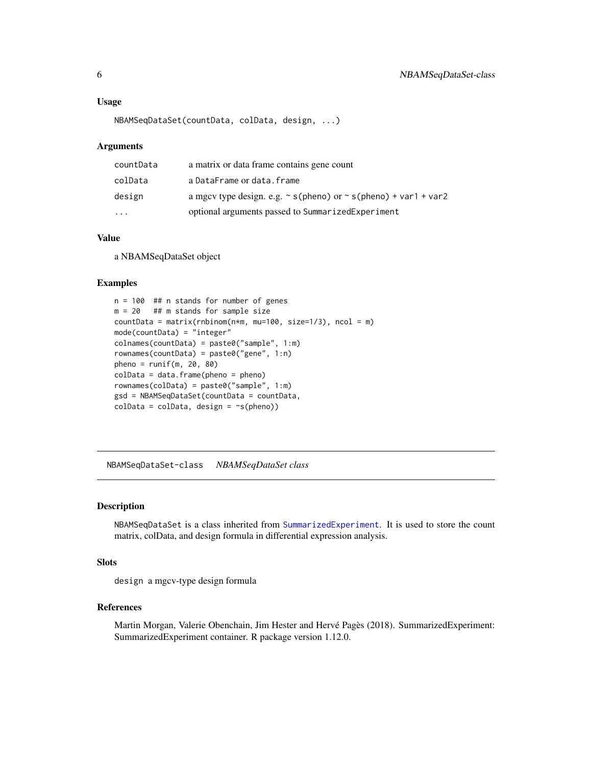#### <span id="page-5-0"></span>Usage

```
NBAMSeqDataSet(countData, colData, design, ...)
```
#### Arguments

| countData | a matrix or data frame contains gene count                                |
|-----------|---------------------------------------------------------------------------|
| colData   | a DataFrame or data.frame                                                 |
| design    | a mgcv type design. e.g. $\sim$ s(pheno) or $\sim$ s(pheno) + var1 + var2 |
| $\ddotsc$ | optional arguments passed to SummarizedExperiment                         |

#### Value

a NBAMSeqDataSet object

#### Examples

```
n = 100 ## n stands for number of genes
m = 20 ## m stands for sample size
countData = matrix(rnbinom(n*m, mu=100, size=1/3), ncol = m)
mode(countData) = "integer"
colnames(countData) = paste0("sample", 1:m)
rownames(countData) = paste0("gene", 1:n)
pheno = runif(m, 20, 80)colData = data-frame(pheno = pheno)rownames(colData) = paste0("sample", 1:m)
gsd = NBAMSeqDataSet(countData = countData,
colData = colData, design = \sims(pheno))
```
NBAMSeqDataSet-class *NBAMSeqDataSet class*

#### Description

NBAMSeqDataSet is a class inherited from [SummarizedExperiment](#page-0-0). It is used to store the count matrix, colData, and design formula in differential expression analysis.

#### Slots

design a mgcv-type design formula

#### References

Martin Morgan, Valerie Obenchain, Jim Hester and Hervé Pagès (2018). SummarizedExperiment: SummarizedExperiment container. R package version 1.12.0.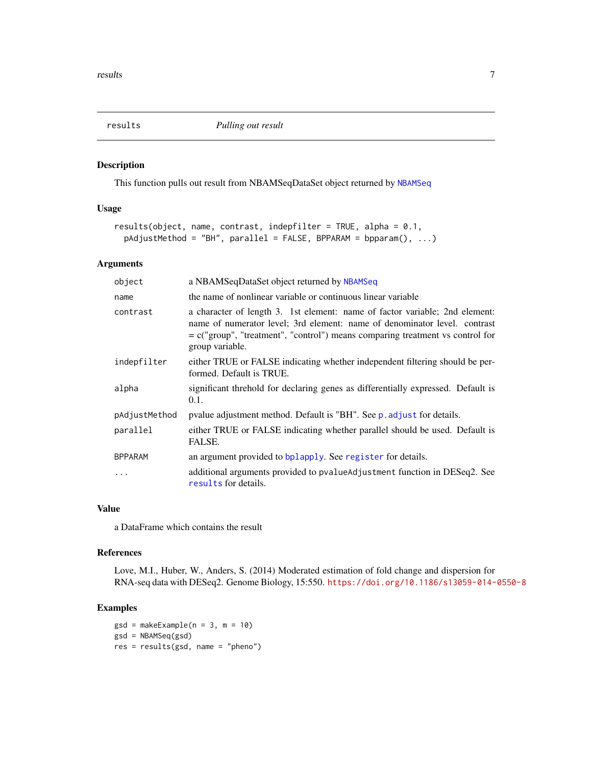<span id="page-6-1"></span><span id="page-6-0"></span>

#### Description

This function pulls out result from NBAMSeqDataSet object returned by [NBAMSeq](#page-2-1)

#### Usage

```
results(object, name, contrast, indepfilter = TRUE, alpha = 0.1,
 pAdjustMethod = "BH", parallel = FALSE, BPPARAM = bpparam(), ...)
```
#### Arguments

| object         | a NBAMSeqDataSet object returned by NBAMSeq                                                                                                                                                                                                                    |
|----------------|----------------------------------------------------------------------------------------------------------------------------------------------------------------------------------------------------------------------------------------------------------------|
| name           | the name of nonlinear variable or continuous linear variable                                                                                                                                                                                                   |
| contrast       | a character of length 3. 1st element: name of factor variable; 2nd element:<br>name of numerator level; 3rd element: name of denominator level. contrast<br>$= c("group", "treatment", "control") means comparing treatment vs control for$<br>group variable. |
| indepfilter    | either TRUE or FALSE indicating whether independent filtering should be per-<br>formed. Default is TRUE.                                                                                                                                                       |
| alpha          | significant threhold for declaring genes as differentially expressed. Default is<br>0.1.                                                                                                                                                                       |
| pAdjustMethod  | pvalue adjustment method. Default is "BH". See p. adjust for details.                                                                                                                                                                                          |
| parallel       | either TRUE or FALSE indicating whether parallel should be used. Default is<br>FALSE.                                                                                                                                                                          |
| <b>BPPARAM</b> | an argument provided to bplapply. See register for details.                                                                                                                                                                                                    |
| .              | additional arguments provided to pvalueAdjustment function in DESeq2. See<br>results for details.                                                                                                                                                              |

#### Value

a DataFrame which contains the result

#### References

Love, M.I., Huber, W., Anders, S. (2014) Moderated estimation of fold change and dispersion for RNA-seq data with DESeq2. Genome Biology, 15:550. <https://doi.org/10.1186/s13059-014-0550-8>

#### Examples

```
gsd = makeExample(n = 3, m = 10)gsd = NBAMSeq(gsd)
res = results(gsd, name = "pheno")
```